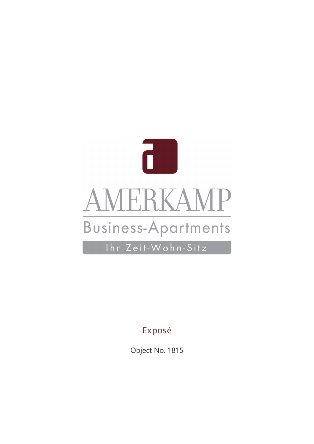

Ihr Zeit-Wohn-Sitz

Exposé

Object No. 1815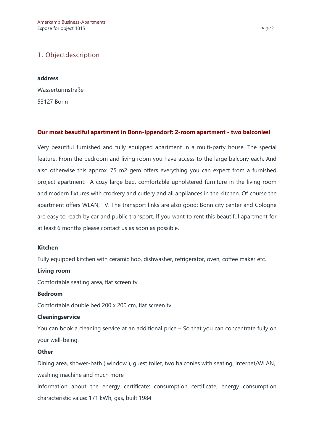### 1. Objectdescription

#### **address**

Wasserturmstraße 53127 Bonn

#### **Our most beautiful apartment in Bonn-Ippendorf: 2-room apartment - two balconies!**

Very beautiful furnished and fully equipped apartment in a multi-party house. The special feature: From the bedroom and living room you have access to the large balcony each. And also otherwise this approx. 75 m2 gem offers everything you can expect from a furnished project apartment: A cozy large bed, comfortable upholstered furniture in the living room and modern fixtures with crockery and cutlery and all appliances in the kitchen. Of course the apartment offers WLAN, TV. The transport links are also good: Bonn city center and Cologne are easy to reach by car and public transport. If you want to rent this beautiful apartment for at least 6 months please contact us as soon as possible.

#### **Kitchen**

Fully equipped kitchen with ceramic hob, dishwasher, refrigerator, oven, coffee maker etc.

#### **Living room**

Comfortable seating area, flat screen tv

#### **Bedroom**

Comfortable double bed 200 x 200 cm, flat screen tv

#### **Cleaningservice**

You can book a cleaning service at an additional price – So that you can concentrate fully on your well-being.

#### **Other**

Dining area, shower-bath ( window ), guest toilet, two balconies with seating, Internet/WLAN, washing machine and much more

Information about the energy certificate: consumption certificate, energy consumption characteristic value: 171 kWh, gas, built 1984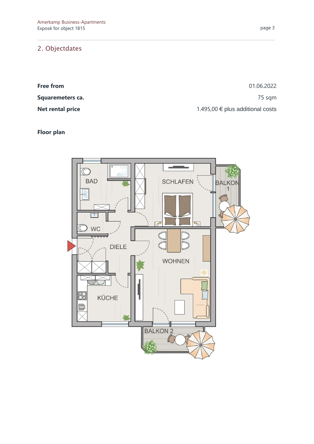## 2. Objectdates

**Free from** 01.06.2022 **Squaremeters ca.** 25 sqm **Net rental price** 1.495,00 € plus additional costs

## **Floor plan**

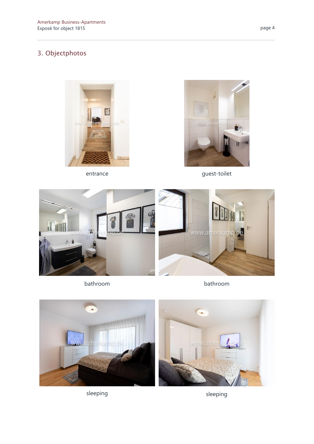# 3. Objectphotos





entrance guest-toilet



bathroom bathroom



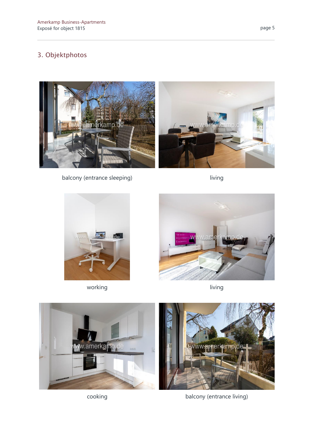# 3. Objektphotos



balcony (entrance sleeping) living



working living and the living living







cooking balcony (entrance living)